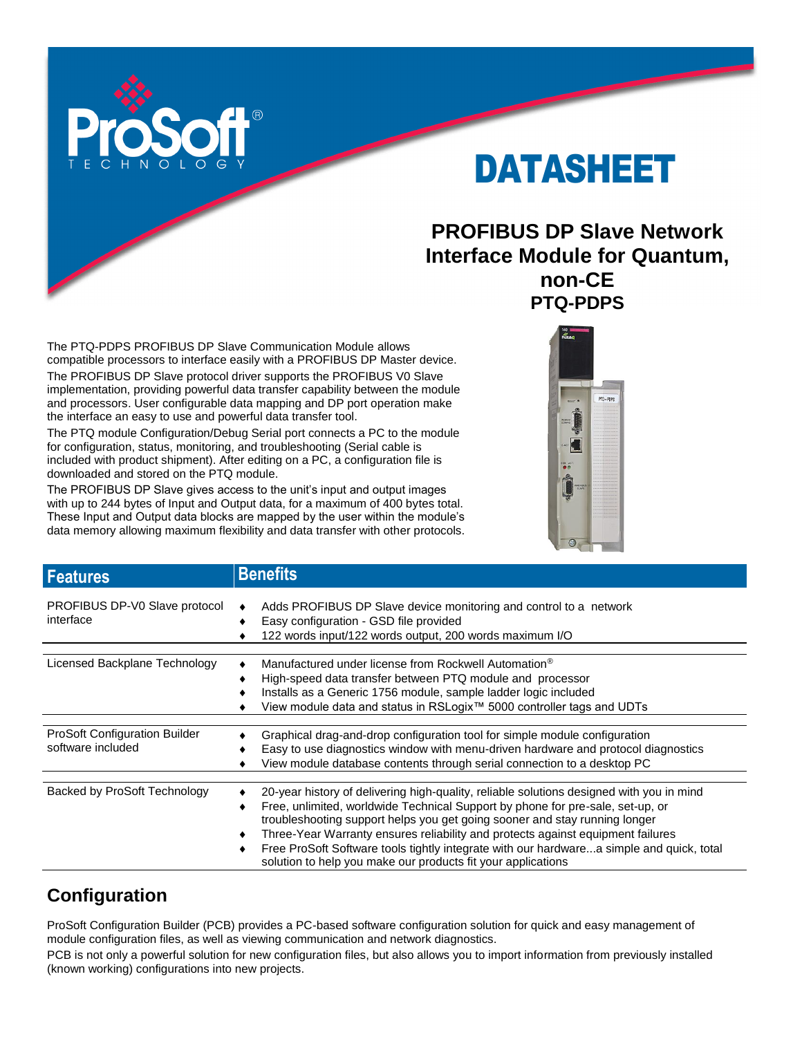

# DATASHEET

# **PROFIBUS DP Slave Network Interface Module for Quantum, non-CE PTQ-PDPS**

The PTQ-PDPS PROFIBUS DP Slave Communication Module allows compatible processors to interface easily with a PROFIBUS DP Master device. The PROFIBUS DP Slave protocol driver supports the PROFIBUS V0 Slave implementation, providing powerful data transfer capability between the module and processors. User configurable data mapping and DP port operation make the interface an easy to use and powerful data transfer tool.

The PTQ module Configuration/Debug Serial port connects a PC to the module for configuration, status, monitoring, and troubleshooting (Serial cable is included with product shipment). After editing on a PC, a configuration file is downloaded and stored on the PTQ module.

The PROFIBUS DP Slave gives access to the unit's input and output images with up to 244 bytes of Input and Output data, for a maximum of 400 bytes total. These Input and Output data blocks are mapped by the user within the module's data memory allowing maximum flexibility and data transfer with other protocols.



| <b>Features</b>                                           | <b>Benefits</b>                                                                                                                                                                                                                                                                                                                                                                                                                                                                                              |
|-----------------------------------------------------------|--------------------------------------------------------------------------------------------------------------------------------------------------------------------------------------------------------------------------------------------------------------------------------------------------------------------------------------------------------------------------------------------------------------------------------------------------------------------------------------------------------------|
| PROFIBUS DP-V0 Slave protocol<br>interface                | Adds PROFIBUS DP Slave device monitoring and control to a network<br>Easy configuration - GSD file provided<br>122 words input/122 words output, 200 words maximum I/O                                                                                                                                                                                                                                                                                                                                       |
| Licensed Backplane Technology                             | Manufactured under license from Rockwell Automation <sup>®</sup><br>High-speed data transfer between PTQ module and processor<br>Installs as a Generic 1756 module, sample ladder logic included<br>View module data and status in RSLogix <sup>™</sup> 5000 controller tags and UDTs                                                                                                                                                                                                                        |
| <b>ProSoft Configuration Builder</b><br>software included | Graphical drag-and-drop configuration tool for simple module configuration<br>Easy to use diagnostics window with menu-driven hardware and protocol diagnostics<br>View module database contents through serial connection to a desktop PC                                                                                                                                                                                                                                                                   |
| Backed by ProSoft Technology                              | 20-year history of delivering high-quality, reliable solutions designed with you in mind<br>Free, unlimited, worldwide Technical Support by phone for pre-sale, set-up, or<br>troubleshooting support helps you get going sooner and stay running longer<br>Three-Year Warranty ensures reliability and protects against equipment failures<br>Free ProSoft Software tools tightly integrate with our hardwarea simple and quick, total<br>٠<br>solution to help you make our products fit your applications |

# **Configuration**

ProSoft Configuration Builder (PCB) provides a PC-based software configuration solution for quick and easy management of module configuration files, as well as viewing communication and network diagnostics.

PCB is not only a powerful solution for new configuration files, but also allows you to import information from previously installed (known working) configurations into new projects.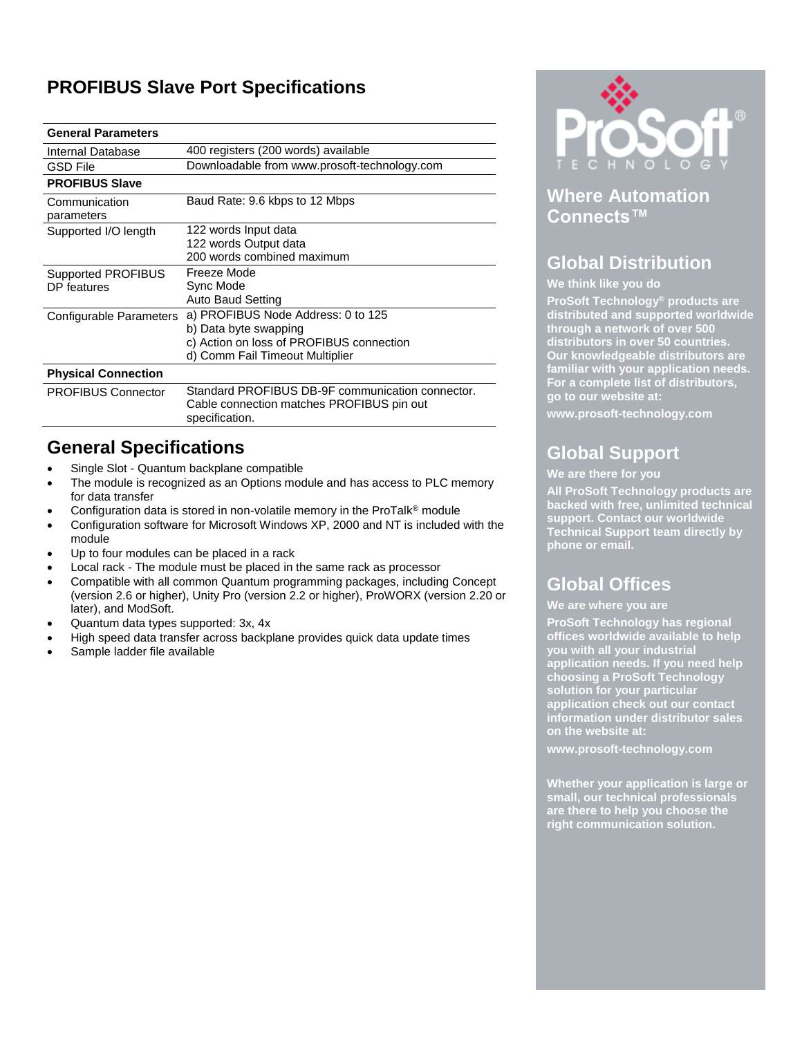# **PROFIBUS Slave Port Specifications**

#### **General Parameters**

| Internal Database           | 400 registers (200 words) available              |
|-----------------------------|--------------------------------------------------|
| <b>GSD File</b>             | Downloadable from www.prosoft-technology.com     |
| <b>PROFIBUS Slave</b>       |                                                  |
| Communication<br>parameters | Baud Rate: 9.6 kbps to 12 Mbps                   |
| Supported I/O length        | 122 words Input data                             |
|                             | 122 words Output data                            |
|                             | 200 words combined maximum                       |
| <b>Supported PROFIBUS</b>   | Freeze Mode                                      |
| DP features                 | Sync Mode                                        |
|                             | <b>Auto Baud Setting</b>                         |
| Configurable Parameters     | a) PROFIBUS Node Address: 0 to 125               |
|                             | b) Data byte swapping                            |
|                             | c) Action on loss of PROFIBUS connection         |
|                             | d) Comm Fail Timeout Multiplier                  |
| <b>Physical Connection</b>  |                                                  |
| <b>PROFIBUS Connector</b>   | Standard PROFIBUS DB-9F communication connector. |
|                             | Cable connection matches PROFIBUS pin out        |
|                             | specification.                                   |

### **General Specifications**

- Single Slot Quantum backplane compatible
- The module is recognized as an Options module and has access to PLC memory for data transfer
- Configuration data is stored in non-volatile memory in the ProTalk® module
- Configuration software for Microsoft Windows XP, 2000 and NT is included with the module
- Up to four modules can be placed in a rack
- Local rack The module must be placed in the same rack as processor
- Compatible with all common Quantum programming packages, including Concept (version 2.6 or higher), Unity Pro (version 2.2 or higher), ProWORX (version 2.20 or later), and ModSoft.
- Quantum data types supported: 3x, 4x
- High speed data transfer across backplane provides quick data update times
- Sample ladder file available



### **Where Automation Connects™**

### **Global Distribution**

#### **We think like you do**

**ProSoft Technology® products are distributed and supported worldwide through a network of over 500 distributors in over 50 countries. Our knowledgeable distributors are familiar with your application needs. For a complete list of distributors, go to our website at:**

**www.prosoft-technology.com**

# **Global Support**

#### **We are there for you**

**All ProSoft Technology products are backed with free, unlimited technical support. Contact our worldwide Technical Support team directly by phone or email.**

## **Global Offices**

#### **We are where you are**

**ProSoft Technology has regional offices worldwide available to help you with all your industrial application needs. If you need help choosing a ProSoft Technology solution for your particular application check out our contact information under distributor sales on the website at:**

**www.prosoft-technology.com**

**Whether your application is large or small, our technical professionals are there to help you choose the right communication solution.**